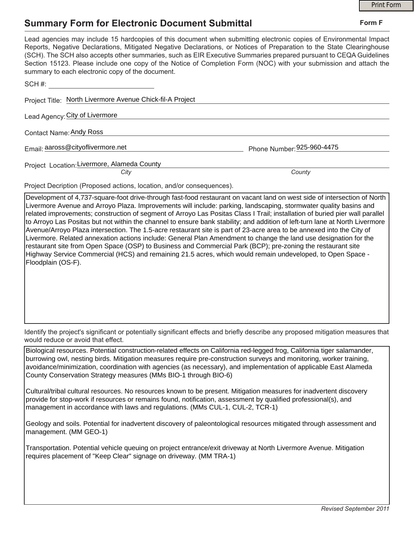## **Summary Form for Electronic Document Submittal**

|                                                                                                                                                                                                                                                                                                                                                                                                                                                                                                                                           | <b>Print Form</b>          |
|-------------------------------------------------------------------------------------------------------------------------------------------------------------------------------------------------------------------------------------------------------------------------------------------------------------------------------------------------------------------------------------------------------------------------------------------------------------------------------------------------------------------------------------------|----------------------------|
| <b>Summary Form for Electronic Document Submittal</b>                                                                                                                                                                                                                                                                                                                                                                                                                                                                                     | Form F                     |
| Lead agencies may include 15 hardcopies of this document when submitting electronic copies of Environmental Impact<br>Reports, Negative Declarations, Mitigated Negative Declarations, or Notices of Preparation to the State Clearinghouse<br>(SCH). The SCH also accepts other summaries, such as EIR Executive Summaries prepared pursuant to CEQA Guidelines<br>Section 15123. Please include one copy of the Notice of Completion Form (NOC) with your submission and attach the<br>summary to each electronic copy of the document. |                            |
| $SCH \#$                                                                                                                                                                                                                                                                                                                                                                                                                                                                                                                                  |                            |
| Project Title: North Livermore Avenue Chick-fil-A Project                                                                                                                                                                                                                                                                                                                                                                                                                                                                                 |                            |
| Lead Agency: City of Livermore                                                                                                                                                                                                                                                                                                                                                                                                                                                                                                            |                            |
| Contact Name: Andy Ross                                                                                                                                                                                                                                                                                                                                                                                                                                                                                                                   |                            |
| Email: aaross@cityoflivermore.net                                                                                                                                                                                                                                                                                                                                                                                                                                                                                                         | Phone Number: 925-960-4475 |
| Project Location: Livermore, Alameda County<br>Citv                                                                                                                                                                                                                                                                                                                                                                                                                                                                                       | County                     |
| Project Decription (Proposed actions, location, and/or consequences).                                                                                                                                                                                                                                                                                                                                                                                                                                                                     |                            |
| Development of 4,737-square-foot drive-through fast-food restaurant on vacant land on west side of intersection of North<br>Livermore Avenue and Arrovo Plaza, Improvements will include: parking, landscaping, stormwater quality basins and                                                                                                                                                                                                                                                                                             |                            |

rermore Avenue and Arroyo Plaza. Improvements will include: parking, landscaping, stormwater quality basins and related improvements; construction of segment of Arroyo Las Positas Class I Trail; installation of buried pier wall parallel to Arroyo Las Positas but not within the channel to ensure bank stability; and addition of left-turn lane at North Livermore Avenue/Arroyo Plaza intersection. The 1.5-acre restaurant site is part of 23-acre area to be annexed into the City of Livermore. Related annexation actions include: General Plan Amendment to change the land use designation for the restaurant site from Open Space (OSP) to Business and Commercial Park (BCP); pre-zoning the restaurant site Highway Service Commercial (HCS) and remaining 21.5 acres, which would remain undeveloped, to Open Space - Floodplain (OS-F).

Identify the project's significant or potentially significant effects and briefly describe any proposed mitigation measures that would reduce or avoid that effect.

Biological resources. Potential construction-related effects on California red-legged frog, California tiger salamander, burrowing owl, nesting birds. Mitigation measures require pre-construction surveys and monitoring, worker training, avoidance/minimization, coordination with agencies (as necessary), and implementation of applicable East Alameda County Conservation Strategy measures (MMs BIO-1 through BIO-6)

Cultural/tribal cultural resources. No resources known to be present. Mitigation measures for inadvertent discovery provide for stop-work if resources or remains found, notification, assessment by qualified professional(s), and management in accordance with laws and regulations. (MMs CUL-1, CUL-2, TCR-1)

Geology and soils. Potential for inadvertent discovery of paleontological resources mitigated through assessment and management. (MM GEO-1)

Transportation. Potential vehicle queuing on project entrance/exit driveway at North Livermore Avenue. Mitigation requires placement of "Keep Clear" signage on driveway. (MM TRA-1)